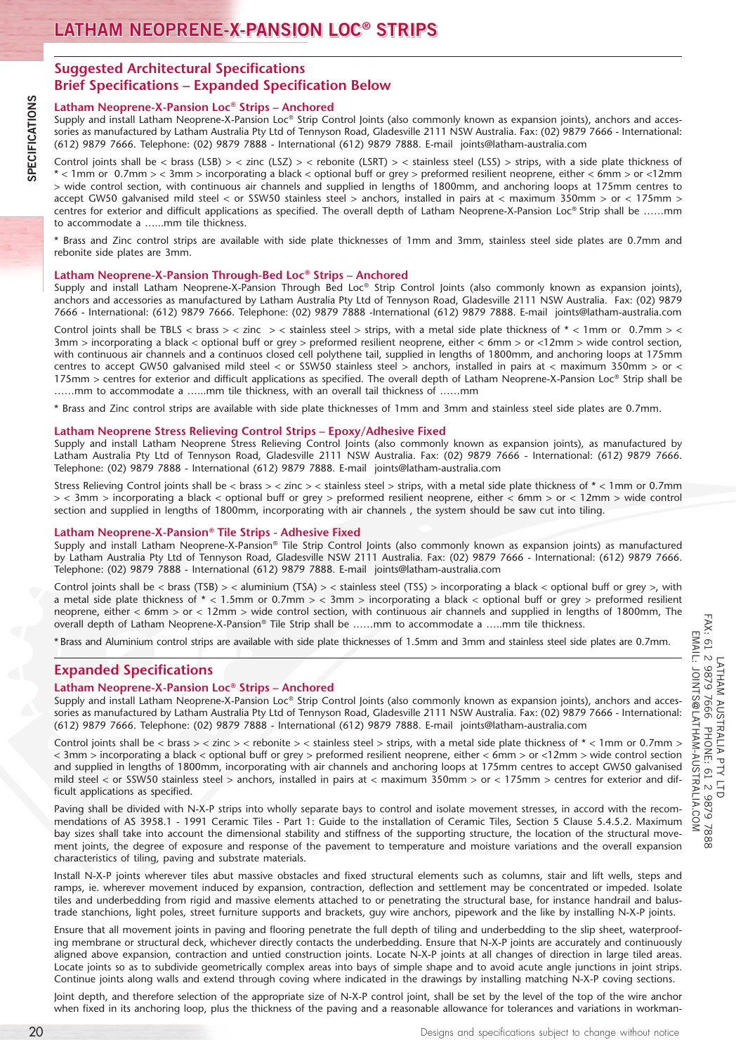# **Suggested Architectural Specifications Brief Specifications – Expanded Specification Below**

# **Latham Neoprene-X-Pansion Loc® Strips – Anchored**

Supply and install Latham Neoprene-X-Pansion Loc® Strip Control Joints (also commonly known as expansion joints), anchors and accessories as manufactured by Latham Australia Pty Ltd of Tennyson Road, Gladesville 2111 NSW Australia. Fax: (02) 9879 7666 - International: (612) 9879 7666. Telephone: (02) 9879 7888 - International (612) 9879 7888. E-mail joints@latham-australia.com

Control joints shall be < brass (LSB) > < zinc (LSZ) > < rebonite (LSRT) > < stainless steel (LSS) > strips, with a side plate thickness of \* < 1mm or 0.7mm > < 3mm > incorporating a black < optional buff or grey > preformed resilient neoprene, either < 6mm > or <12mm > wide control section, with continuous air channels and supplied in lengths of 1800mm, and anchoring loops at 175mm centres to accept GW50 galvanised mild steel < or SSW50 stainless steel > anchors, installed in pairs at < maximum 350mm > or < 175mm > centres for exterior and difficult applications as specified. The overall depth of Latham Neoprene-X-Pansion Loc® Strip shall be ……mm to accommodate a …...mm tile thickness.

\* Brass and Zinc control strips are available with side plate thicknesses of 1mm and 3mm, stainless steel side plates are 0.7mm and rebonite side plates are 3mm.

# **Latham Neoprene-X-Pansion Through-Bed Loc® Strips – Anchored**

Supply and install Latham Neoprene-X-Pansion Through Bed Loc® Strip Control Joints (also commonly known as expansion joints), anchors and accessories as manufactured by Latham Australia Pty Ltd of Tennyson Road, Gladesville 2111 NSW Australia. Fax: (02) 9879 7666 - International: (612) 9879 7666. Telephone: (02) 9879 7888 -International (612) 9879 7888. E-mail joints@latham-australia.com

Control joints shall be TBLS < brass > < zinc > < stainless steel > strips, with a metal side plate thickness of  $*$  < 1mm or 0.7mm > < 3mm > incorporating a black < optional buff or grey > preformed resilient neoprene, either < 6mm > or <12mm > wide control section, with continuous air channels and a continuos closed cell polythene tail, supplied in lengths of 1800mm, and anchoring loops at 175mm centres to accept GW50 galvanised mild steel < or SSW50 stainless steel > anchors, installed in pairs at < maximum 350mm > or < 175mm > centres for exterior and difficult applications as specified. The overall depth of Latham Neoprene-X-Pansion Loc® Strip shall be ……mm to accommodate a …...mm tile thickness, with an overall tail thickness of ……mm

\* Brass and Zinc control strips are available with side plate thicknesses of 1mm and 3mm and stainless steel side plates are 0.7mm.

# **Latham Neoprene Stress Relieving Control Strips – Epoxy/Adhesive Fixed**

Supply and install Latham Neoprene Stress Relieving Control Joints (also commonly known as expansion joints), as manufactured by Latham Australia Pty Ltd of Tennyson Road, Gladesville 2111 NSW Australia. Fax: (02) 9879 7666 - International: (612) 9879 7666. Telephone: (02) 9879 7888 - International (612) 9879 7888. E-mail joints@latham-australia.com

Stress Relieving Control joints shall be < brass > < zinc > < stainless steel > strips, with a metal side plate thickness of \* < 1mm or 0.7mm > < 3mm > incorporating a black < optional buff or grey > preformed resilient neoprene, either < 6mm > or < 12mm > wide control section and supplied in lengths of 1800mm, incorporating with air channels , the system should be saw cut into tiling.

# **Latham Neoprene-X-Pansion® Tile Strips - Adhesive Fixed**

Supply and install Latham Neoprene-X-Pansion® Tile Strip Control Joints (also commonly known as expansion joints) as manufactured by Latham Australia Pty Ltd of Tennyson Road, Gladesville NSW 2111 Australia. Fax: (02) 9879 7666 - International: (612) 9879 7666. Telephone: (02) 9879 7888 - International (612) 9879 7888. E-mail joints@latham-australia.com

Control joints shall be < brass (TSB) > < aluminium (TSA) > < stainless steel (TSS) > incorporating a black < optional buff or grey >, with a metal side plate thickness of \* < 1.5mm or 0.7mm > < 3mm > incorporating a black < optional buff or grey > preformed resilient neoprene, either < 6mm > or < 12mm > wide control section, with continuous air channels and supplied in lengths of 1800mm, The overall depth of Latham Neoprene-X-Pansion® Tile Strip shall be ……mm to accommodate a …..mm tile thickness.

\* Brass and Aluminium control strips are available with side plate thicknesses of 1.5mm and 3mm and stainless steel side plates are 0.7mm.

# **Expanded Specifications**

# **Latham Neoprene-X-Pansion Loc® Strips – Anchored**

Supply and install Latham Neoprene-X-Pansion Loc® Strip Control Joints (also commonly known as expansion joints), anchors and accessories as manufactured by Latham Australia Pty Ltd of Tennyson Road, Gladesville 2111 NSW Australia. Fax: (02) 9879 7666 - International: (612) 9879 7666. Telephone: (02) 9879 7888 - International (612) 9879 7888. E-mail joints@latham-australia.com

Control joints shall be < brass > < zinc > < rebonite > < stainless steel > strips, with a metal side plate thickness of \* < 1mm or 0.7mm > < 3mm > incorporating a black < optional buff or grey > preformed resilient neoprene, either < 6mm > or <12mm > wide control section and supplied in lengths of 1800mm, incorporating with air channels and anchoring loops at 175mm centres to accept GW50 galvanised mild steel < or SSW50 stainless steel > anchors, installed in pairs at < maximum 350mm > or < 175mm > centres for exterior and difficult applications as specified.

Paving shall be divided with N-X-P strips into wholly separate bays to control and isolate movement stresses, in accord with the recommendations of AS 3958.1 - 1991 Ceramic Tiles - Part 1: Guide to the installation of Ceramic Tiles, Section 5 Clause 5.4.5.2. Maximum bay sizes shall take into account the dimensional stability and stiffness of the supporting structure, the location of the structural movement joints, the degree of exposure and response of the pavement to temperature and moisture variations and the overall expansion characteristics of tiling, paving and substrate materials.

Install N-X-P joints wherever tiles abut massive obstacles and fixed structural elements such as columns, stair and lift wells, steps and ramps, ie. wherever movement induced by expansion, contraction, deflection and settlement may be concentrated or impeded. Isolate tiles and underbedding from rigid and massive elements attached to or penetrating the structural base, for instance handrail and balustrade stanchions, light poles, street furniture supports and brackets, guy wire anchors, pipework and the like by installing N-X-P joints.

Ensure that all movement joints in paving and flooring penetrate the full depth of tiling and underbedding to the slip sheet, waterproofing membrane or structural deck, whichever directly contacts the underbedding. Ensure that N-X-P joints are accurately and continuously aligned above expansion, contraction and untied construction joints. Locate N-X-P joints at all changes of direction in large tiled areas. Locate joints so as to subdivide geometrically complex areas into bays of simple shape and to avoid acute angle junctions in joint strips. Continue joints along walls and extend through coving where indicated in the drawings by installing matching N-X-P coving sections.

Joint depth, and therefore selection of the appropriate size of N-X-P control joint, shall be set by the level of the top of the wire anchor when fixed in its anchoring loop, plus the thickness of the paving and a reasonable allowance for tolerances and variations in workman-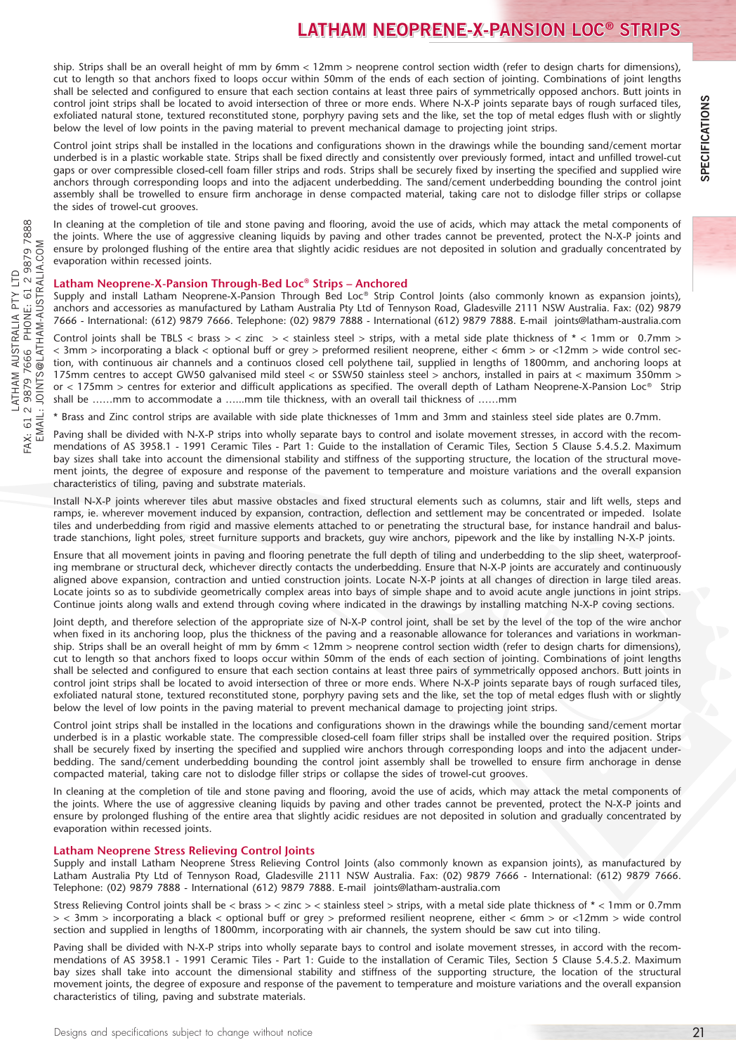# **LATHAM NEOPRENE-X-PANSION LOC® STRIPS**

ship. Strips shall be an overall height of mm by 6mm < 12mm > neoprene control section width (refer to design charts for dimensions), cut to length so that anchors fixed to loops occur within 50mm of the ends of each section of jointing. Combinations of joint lengths shall be selected and configured to ensure that each section contains at least three pairs of symmetrically opposed anchors. Butt joints in control joint strips shall be located to avoid intersection of three or more ends. Where N-X-P joints separate bays of rough surfaced tiles, exfoliated natural stone, textured reconstituted stone, porphyry paving sets and the like, set the top of metal edges flush with or slightly below the level of low points in the paving material to prevent mechanical damage to projecting joint strips.

Control joint strips shall be installed in the locations and configurations shown in the drawings while the bounding sand/cement mortar underbed is in a plastic workable state. Strips shall be fixed directly and consistently over previously formed, intact and unfilled trowel-cut gaps or over compressible closed-cell foam filler strips and rods. Strips shall be securely fixed by inserting the specified and supplied wire anchors through corresponding loops and into the adjacent underbedding. The sand/cement underbedding bounding the control joint assembly shall be trowelled to ensure firm anchorage in dense compacted material, taking care not to dislodge filler strips or collapse the sides of trowel-cut grooves.

In cleaning at the completion of tile and stone paving and flooring, avoid the use of acids, which may attack the metal components of the joints. Where the use of aggressive cleaning liquids by paving and other trades cannot be prevented, protect the N-X-P joints and ensure by prolonged flushing of the entire area that slightly acidic residues are not deposited in solution and gradually concentrated by evaporation within recessed joints.

# **Latham Neoprene-X-Pansion Through-Bed Loc® Strips – Anchored**

Supply and install Latham Neoprene-X-Pansion Through Bed Loc® Strip Control Joints (also commonly known as expansion joints), anchors and accessories as manufactured by Latham Australia Pty Ltd of Tennyson Road, Gladesville 2111 NSW Australia. Fax: (02) 9879 7666 - International: (612) 9879 7666. Telephone: (02) 9879 7888 - International (612) 9879 7888. E-mail joints@latham-australia.com

Control joints shall be TBLS < brass > < zinc > < stainless steel > strips, with a metal side plate thickness of  $*$  < 1mm or 0.7mm > < 3mm > incorporating a black < optional buff or grey > preformed resilient neoprene, either < 6mm > or <12mm > wide control section, with continuous air channels and a continuos closed cell polythene tail, supplied in lengths of 1800mm, and anchoring loops at 175mm centres to accept GW50 galvanised mild steel < or SSW50 stainless steel > anchors, installed in pairs at < maximum 350mm > or < 175mm > centres for exterior and difficult applications as specified. The overall depth of Latham Neoprene-X-Pansion Loc® Strip shall be ……mm to accommodate a …...mm tile thickness, with an overall tail thickness of ……mm

\* Brass and Zinc control strips are available with side plate thicknesses of 1mm and 3mm and stainless steel side plates are 0.7mm.

Paving shall be divided with N-X-P strips into wholly separate bays to control and isolate movement stresses, in accord with the recommendations of AS 3958.1 - 1991 Ceramic Tiles - Part 1: Guide to the installation of Ceramic Tiles, Section 5 Clause 5.4.5.2. Maximum bay sizes shall take into account the dimensional stability and stiffness of the supporting structure, the location of the structural movement joints, the degree of exposure and response of the pavement to temperature and moisture variations and the overall expansion characteristics of tiling, paving and substrate materials.

Install N-X-P joints wherever tiles abut massive obstacles and fixed structural elements such as columns, stair and lift wells, steps and ramps, ie. wherever movement induced by expansion, contraction, deflection and settlement may be concentrated or impeded. Isolate tiles and underbedding from rigid and massive elements attached to or penetrating the structural base, for instance handrail and balustrade stanchions, light poles, street furniture supports and brackets, guy wire anchors, pipework and the like by installing N-X-P joints.

Ensure that all movement joints in paving and flooring penetrate the full depth of tiling and underbedding to the slip sheet, waterproofing membrane or structural deck, whichever directly contacts the underbedding. Ensure that N-X-P joints are accurately and continuously aligned above expansion, contraction and untied construction joints. Locate N-X-P joints at all changes of direction in large tiled areas. Locate joints so as to subdivide geometrically complex areas into bays of simple shape and to avoid acute angle junctions in joint strips. Continue joints along walls and extend through coving where indicated in the drawings by installing matching N-X-P coving sections.

Joint depth, and therefore selection of the appropriate size of N-X-P control joint, shall be set by the level of the top of the wire anchor when fixed in its anchoring loop, plus the thickness of the paving and a reasonable allowance for tolerances and variations in workmanship. Strips shall be an overall height of mm by 6mm < 12mm > neoprene control section width (refer to design charts for dimensions), cut to length so that anchors fixed to loops occur within 50mm of the ends of each section of jointing. Combinations of joint lengths shall be selected and configured to ensure that each section contains at least three pairs of symmetrically opposed anchors. Butt joints in control joint strips shall be located to avoid intersection of three or more ends. Where N-X-P joints separate bays of rough surfaced tiles, exfoliated natural stone, textured reconstituted stone, porphyry paving sets and the like, set the top of metal edges flush with or slightly below the level of low points in the paving material to prevent mechanical damage to projecting joint strips.

Control joint strips shall be installed in the locations and configurations shown in the drawings while the bounding sand/cement mortar underbed is in a plastic workable state. The compressible closed-cell foam filler strips shall be installed over the required position. Strips shall be securely fixed by inserting the specified and supplied wire anchors through corresponding loops and into the adjacent underbedding. The sand/cement underbedding bounding the control joint assembly shall be trowelled to ensure firm anchorage in dense compacted material, taking care not to dislodge filler strips or collapse the sides of trowel-cut grooves.

In cleaning at the completion of tile and stone paving and flooring, avoid the use of acids, which may attack the metal components of the joints. Where the use of aggressive cleaning liquids by paving and other trades cannot be prevented, protect the N-X-P joints and ensure by prolonged flushing of the entire area that slightly acidic residues are not deposited in solution and gradually concentrated by evaporation within recessed joints.

# **Latham Neoprene Stress Relieving Control Joints**

Supply and install Latham Neoprene Stress Relieving Control Joints (also commonly known as expansion joints), as manufactured by Latham Australia Pty Ltd of Tennyson Road, Gladesville 2111 NSW Australia. Fax: (02) 9879 7666 - International: (612) 9879 7666. Telephone: (02) 9879 7888 - International (612) 9879 7888. E-mail joints@latham-australia.com

Stress Relieving Control joints shall be < brass > < zinc > < stainless steel > strips, with a metal side plate thickness of \* < 1mm or 0.7mm > < 3mm > incorporating a black < optional buff or grey > preformed resilient neoprene, either < 6mm > or <12mm > wide control section and supplied in lengths of 1800mm, incorporating with air channels, the system should be saw cut into tiling.

Paving shall be divided with N-X-P strips into wholly separate bays to control and isolate movement stresses, in accord with the recommendations of AS 3958.1 - 1991 Ceramic Tiles - Part 1: Guide to the installation of Ceramic Tiles, Section 5 Clause 5.4.5.2. Maximum bay sizes shall take into account the dimensional stability and stiffness of the supporting structure, the location of the structural movement joints, the degree of exposure and response of the pavement to temperature and moisture variations and the overall expansion characteristics of tiling, paving and substrate materials.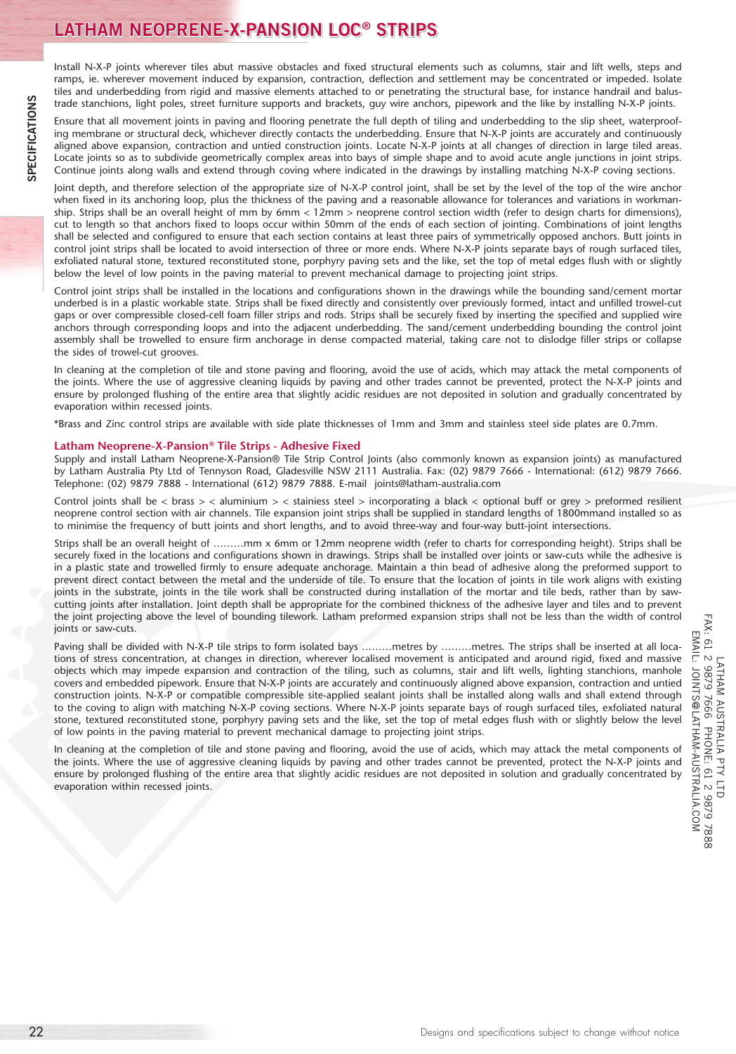Install N-X-P joints wherever tiles abut massive obstacles and fixed structural elements such as columns, stair and lift wells, steps and ramps, ie. wherever movement induced by expansion, contraction, deflection and settlement may be concentrated or impeded. Isolate tiles and underbedding from rigid and massive elements attached to or penetrating the structural base, for instance handrail and balustrade stanchions, light poles, street furniture supports and brackets, guy wire anchors, pipework and the like by installing N-X-P joints.

Ensure that all movement joints in paving and flooring penetrate the full depth of tiling and underbedding to the slip sheet, waterproofing membrane or structural deck, whichever directly contacts the underbedding. Ensure that N-X-P joints are accurately and continuously aligned above expansion, contraction and untied construction joints. Locate N-X-P joints at all changes of direction in large tiled areas. Locate joints so as to subdivide geometrically complex areas into bays of simple shape and to avoid acute angle junctions in joint strips. Continue joints along walls and extend through coving where indicated in the drawings by installing matching N-X-P coving sections.

Joint depth, and therefore selection of the appropriate size of N-X-P control joint, shall be set by the level of the top of the wire anchor when fixed in its anchoring loop, plus the thickness of the paving and a reasonable allowance for tolerances and variations in workmanship. Strips shall be an overall height of mm by 6mm < 12mm > neoprene control section width (refer to design charts for dimensions), cut to length so that anchors fixed to loops occur within 50mm of the ends of each section of jointing. Combinations of joint lengths shall be selected and configured to ensure that each section contains at least three pairs of symmetrically opposed anchors. Butt joints in control joint strips shall be located to avoid intersection of three or more ends. Where N-X-P joints separate bays of rough surfaced tiles, exfoliated natural stone, textured reconstituted stone, porphyry paving sets and the like, set the top of metal edges flush with or slightly below the level of low points in the paving material to prevent mechanical damage to projecting joint strips.

Control joint strips shall be installed in the locations and configurations shown in the drawings while the bounding sand/cement mortar underbed is in a plastic workable state. Strips shall be fixed directly and consistently over previously formed, intact and unfilled trowel-cut gaps or over compressible closed-cell foam filler strips and rods. Strips shall be securely fixed by inserting the specified and supplied wire anchors through corresponding loops and into the adjacent underbedding. The sand/cement underbedding bounding the control joint assembly shall be trowelled to ensure firm anchorage in dense compacted material, taking care not to dislodge filler strips or collapse the sides of trowel-cut grooves.

In cleaning at the completion of tile and stone paving and flooring, avoid the use of acids, which may attack the metal components of the joints. Where the use of aggressive cleaning liquids by paving and other trades cannot be prevented, protect the N-X-P joints and ensure by prolonged flushing of the entire area that slightly acidic residues are not deposited in solution and gradually concentrated by evaporation within recessed joints.

\*Brass and Zinc control strips are available with side plate thicknesses of 1mm and 3mm and stainless steel side plates are 0.7mm.

# **Latham Neoprene-X-Pansion® Tile Strips - Adhesive Fixed**

Supply and install Latham Neoprene-X-Pansion® Tile Strip Control Joints (also commonly known as expansion joints) as manufactured by Latham Australia Pty Ltd of Tennyson Road, Gladesville NSW 2111 Australia. Fax: (02) 9879 7666 - International: (612) 9879 7666. Telephone: (02) 9879 7888 - International (612) 9879 7888. E-mail joints@latham-australia.com

Control joints shall be < brass > < aluminium > < stainiess steel > incorporating a black < optional buff or grey > preformed resilient neoprene control section with air channels. Tile expansion joint strips shall be supplied in standard lengths of 1800mmand installed so as to minimise the frequency of butt joints and short lengths, and to avoid three-way and four-way butt-joint intersections.

Strips shall be an overall height of ………mm x 6mm or 12mm neoprene width (refer to charts for corresponding height). Strips shall be securely fixed in the locations and configurations shown in drawings. Strips shall be installed over joints or saw-cuts while the adhesive is in a plastic state and trowelled firmly to ensure adequate anchorage. Maintain a thin bead of adhesive along the preformed support to prevent direct contact between the metal and the underside of tile. To ensure that the location of joints in tile work aligns with existing joints in the substrate, joints in the tile work shall be constructed during installation of the mortar and tile beds, rather than by sawcutting joints after installation. Joint depth shall be appropriate for the combined thickness of the adhesive layer and tiles and to prevent the joint projecting above the level of bounding tilework. Latham preformed expansion strips shall not be less than the width of control joints or saw-cuts.

Paving shall be divided with N-X-P tile strips to form isolated bays ………metres by ………metres. The strips shall be inserted at all locations of stress concentration, at changes in direction, wherever localised movement is anticipated and around rigid, fixed and massive objects which may impede expansion and contraction of the tiling, such as columns, stair and lift wells, lighting stanchions, manhole covers and embedded pipework. Ensure that N-X-P joints are accurately and continuously aligned above expansion, contraction and untied construction joints. N-X-P or compatible compressible site-applied sealant joints shall be installed along walls and shall extend through to the coving to align with matching N-X-P coving sections. Where N-X-P joints separate bays of rough surfaced tiles, exfoliated natural stone, textured reconstituted stone, porphyry paving sets and the like, set the top of metal edges flush with or slightly below the level of low points in the paving material to prevent mechanical damage to projecting joint strips.

In cleaning at the completion of tile and stone paving and flooring, avoid the use of acids, which may attack the metal components of the joints. Where the use of aggressive cleaning liquids by paving and other trades cannot be prevented, protect the N-X-P joints and ensure by prolonged flushing of the entire area that slightly acidic residues are not deposited in solution and gradually concentrated by evaporation within recessed joints.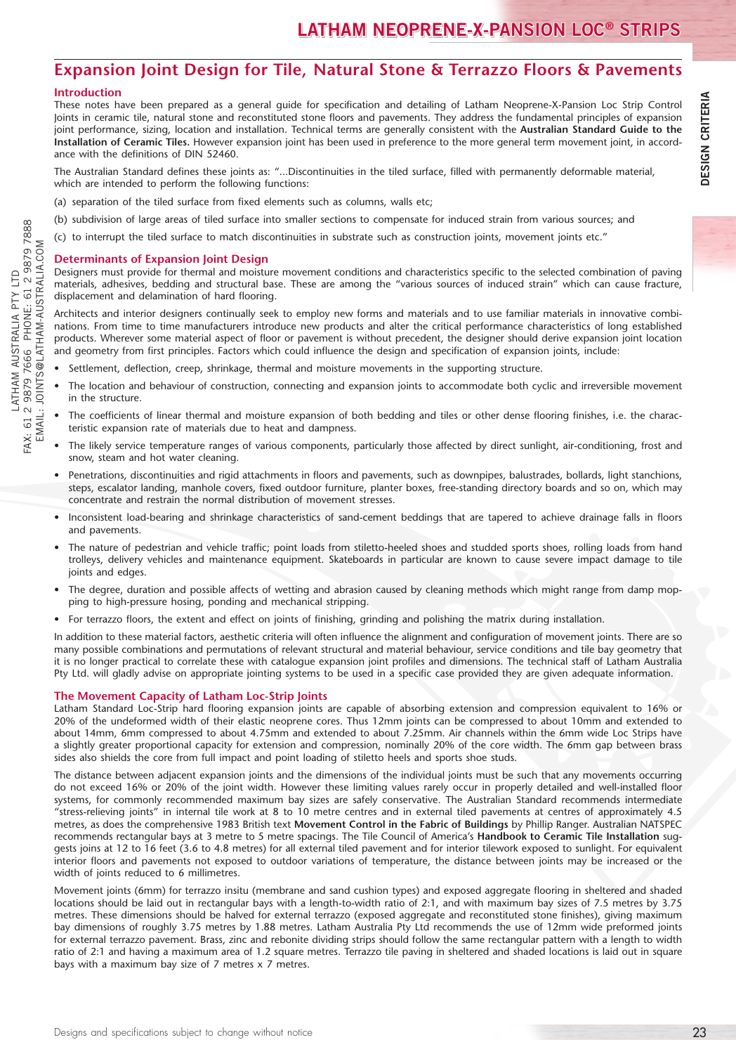# **Expansion Joint Design for Tile, Natural Stone & Terrazzo Floors & Pavements**

# **Introduction**

These notes have been prepared as a general guide for specification and detailing of Latham Neoprene-X-Pansion Loc Strip Control Joints in ceramic tile, natural stone and reconstituted stone floors and pavements. They address the fundamental principles of expansion joint performance, sizing, location and installation. Technical terms are generally consistent with the **Australian Standard Guide to the Installation of Ceramic Tiles.** However expansion joint has been used in preference to the more general term movement joint, in accordance with the definitions of DIN 52460.

The Australian Standard defines these joints as: "...Discontinuities in the tiled surface, filled with permanently deformable material, which are intended to perform the following functions:

- (a) separation of the tiled surface from fixed elements such as columns, walls etc;
- (b) subdivision of large areas of tiled surface into smaller sections to compensate for induced strain from various sources; and
- to interrupt the tiled surface to match discontinuities in substrate such as construction joints, movement joints etc."

## **Determinants of Expansion Joint Design**

Designers must provide for thermal and moisture movement conditions and characteristics specific to the selected combination of paving materials, adhesives, bedding and structural base. These are among the "various sources of induced strain" which can cause fracture, displacement and delamination of hard flooring.

Architects and interior designers continually seek to employ new forms and materials and to use familiar materials in innovative combinations. From time to time manufacturers introduce new products and alter the critical performance characteristics of long established products. Wherever some material aspect of floor or pavement is without precedent, the designer should derive expansion joint location and geometry from first principles. Factors which could influence the design and specification of expansion joints, include:

- • Settlement, deflection, creep, shrinkage, thermal and moisture movements in the supporting structure.
- The location and behaviour of construction, connecting and expansion joints to accommodate both cyclic and irreversible movement in the structure.
- The coefficients of linear thermal and moisture expansion of both bedding and tiles or other dense flooring finishes, i.e. the characteristic expansion rate of materials due to heat and dampness.
- The likely service temperature ranges of various components, particularly those affected by direct sunlight, air-conditioning, frost and snow, steam and hot water cleaning.
- • Penetrations, discontinuities and rigid attachments in floors and pavements, such as downpipes, balustrades, bollards, light stanchions, steps, escalator landing, manhole covers, fixed outdoor furniture, planter boxes, free-standing directory boards and so on, which may concentrate and restrain the normal distribution of movement stresses.
- Inconsistent load-bearing and shrinkage characteristics of sand-cement beddings that are tapered to achieve drainage falls in floors and pavements.
- The nature of pedestrian and vehicle traffic; point loads from stiletto-heeled shoes and studded sports shoes, rolling loads from hand trolleys, delivery vehicles and maintenance equipment. Skateboards in particular are known to cause severe impact damage to tile joints and edges.
- The degree, duration and possible affects of wetting and abrasion caused by cleaning methods which might range from damp mopping to high-pressure hosing, ponding and mechanical stripping.
- • For terrazzo floors, the extent and effect on joints of finishing, grinding and polishing the matrix during installation.

In addition to these material factors, aesthetic criteria will often influence the alignment and configuration of movement joints. There are so many possible combinations and permutations of relevant structural and material behaviour, service conditions and tile bay geometry that it is no longer practical to correlate these with catalogue expansion joint profiles and dimensions. The technical staff of Latham Australia Pty Ltd. will gladly advise on appropriate jointing systems to be used in a specific case provided they are given adequate information.

# **The Movement Capacity of Latham Loc-Strip Joints**

Latham Standard Loc-Strip hard flooring expansion joints are capable of absorbing extension and compression equivalent to 16% or 20% of the undeformed width of their elastic neoprene cores. Thus 12mm joints can be compressed to about 10mm and extended to about 14mm, 6mm compressed to about 4.75mm and extended to about 7.25mm. Air channels within the 6mm wide Loc Strips have a slightly greater proportional capacity for extension and compression, nominally 20% of the core width. The 6mm gap between brass sides also shields the core from full impact and point loading of stiletto heels and sports shoe studs.

The specific of the specific of a specific of the specific of a stating in the specific of a specific of a specific of a stating in the specific of a specific of a stating in the specific of a stating of control in the sp The distance between adjacent expansion joints and the dimensions of the individual joints must be such that any movements occurring do not exceed 16% or 20% of the joint width. However these limiting values rarely occur in properly detailed and well-installed floor systems, for commonly recommended maximum bay sizes are safely conservative. The Australian Standard recommends intermediate "stress-relieving joints" in internal tile work at 8 to 10 metre centres and in external tiled pavements at centres of approximately 4.5 metres, as does the comprehensive 1983 British text **Movement Control in the Fabric of Buildings** by Phillip Ranger. Australian NATSPEC recommends rectangular bays at 3 metre to 5 metre spacings. The Tile Council of America's **Handbook to Ceramic Tile Installation** suggests joins at 12 to 16 feet (3.6 to 4.8 metres) for all external tiled pavement and for interior tilework exposed to sunlight. For equivalent interior floors and pavements not exposed to outdoor variations of temperature, the distance between joints may be increased or the width of joints reduced to 6 millimetres.

Movement joints (6mm) for terrazzo insitu (membrane and sand cushion types) and exposed aggregate flooring in sheltered and shaded locations should be laid out in rectangular bays with a length-to-width ratio of 2:1, and with maximum bay sizes of 7.5 metres by 3.75 metres. These dimensions should be halved for external terrazzo (exposed aggregate and reconstituted stone finishes), giving maximum bay dimensions of roughly 3.75 metres by 1.88 metres. Latham Australia Pty Ltd recommends the use of 12mm wide preformed joints for external terrazzo pavement. Brass, zinc and rebonite dividing strips should follow the same rectangular pattern with a length to width ratio of 2:1 and having a maximum area of 1.2 square metres. Terrazzo tile paving in sheltered and shaded locations is laid out in square bays with a maximum bay size of 7 metres x 7 metres.

ن

 $-KX: 61$ EMAIL

LATHAM AUSTRALIA PTY LTD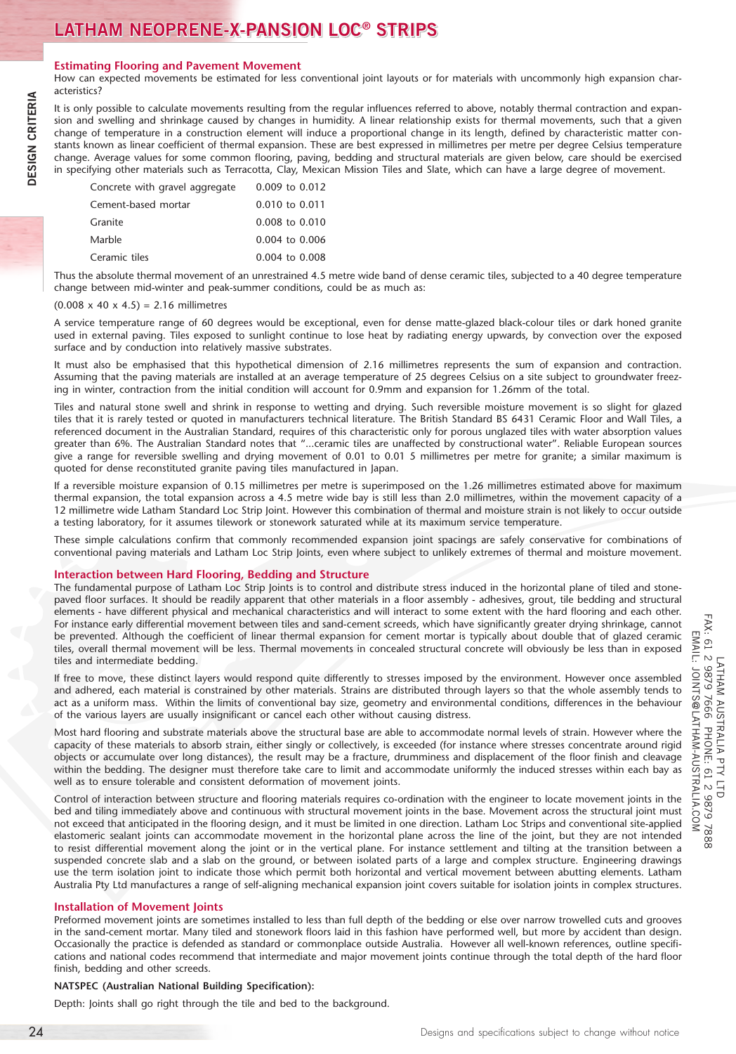## **Estimating Flooring and Pavement Movement**

How can expected movements be estimated for less conventional joint layouts or for materials with uncommonly high expansion characteristics?

It is only possible to calculate movements resulting from the regular influences referred to above, notably thermal contraction and expansion and swelling and shrinkage caused by changes in humidity. A linear relationship exists for thermal movements, such that a given change of temperature in a construction element will induce a proportional change in its length, defined by characteristic matter constants known as linear coefficient of thermal expansion. These are best expressed in millimetres per metre per degree Celsius temperature change. Average values for some common flooring, paving, bedding and structural materials are given below, care should be exercised in specifying other materials such as Terracotta, Clay, Mexican Mission Tiles and Slate, which can have a large degree of movement.

| Concrete with gravel aggregate | $0.009$ to $0.012$ |
|--------------------------------|--------------------|
| Cement-based mortar            | $0.010$ to $0.011$ |
| Granite                        | $0.008$ to $0.010$ |
| Marble                         | $0.004$ to $0.006$ |
| Ceramic tiles                  | $0.004$ to $0.008$ |
|                                |                    |

Thus the absolute thermal movement of an unrestrained 4.5 metre wide band of dense ceramic tiles, subjected to a 40 degree temperature change between mid-winter and peak-summer conditions, could be as much as:

#### $(0.008 \times 40 \times 4.5) = 2.16$  millimetres

A service temperature range of 60 degrees would be exceptional, even for dense matte-glazed black-colour tiles or dark honed granite used in external paving. Tiles exposed to sunlight continue to lose heat by radiating energy upwards, by convection over the exposed surface and by conduction into relatively massive substrates.

It must also be emphasised that this hypothetical dimension of 2.16 millimetres represents the sum of expansion and contraction. Assuming that the paving materials are installed at an average temperature of 25 degrees Celsius on a site subject to groundwater freezing in winter, contraction from the initial condition will account for 0.9mm and expansion for 1.26mm of the total.

Tiles and natural stone swell and shrink in response to wetting and drying. Such reversible moisture movement is so slight for glazed tiles that it is rarely tested or quoted in manufacturers technical literature. The British Standard BS 6431 Ceramic Floor and Wall Tiles, a referenced document in the Australian Standard, requires of this characteristic only for porous unglazed tiles with water absorption values greater than 6%. The Australian Standard notes that "...ceramic tiles are unaffected by constructional water". Reliable European sources give a range for reversible swelling and drying movement of 0.01 to 0.01 5 millimetres per metre for granite; a similar maximum is quoted for dense reconstituted granite paving tiles manufactured in Japan.

If a reversible moisture expansion of 0.15 millimetres per metre is superimposed on the 1.26 millimetres estimated above for maximum thermal expansion, the total expansion across a 4.5 metre wide bay is still less than 2.0 millimetres, within the movement capacity of a 12 millimetre wide Latham Standard Loc Strip Joint. However this combination of thermal and moisture strain is not likely to occur outside a testing laboratory, for it assumes tilework or stonework saturated while at its maximum service temperature.

These simple calculations confirm that commonly recommended expansion joint spacings are safely conservative for combinations of conventional paving materials and Latham Loc Strip Joints, even where subject to unlikely extremes of thermal and moisture movement.

# **Interaction between Hard Flooring, Bedding and Structure**

The fundamental purpose of Latham Loc Strip Joints is to control and distribute stress induced in the horizontal plane of tiled and stonepaved floor surfaces. It should be readily apparent that other materials in a floor assembly - adhesives, grout, tile bedding and structural elements - have different physical and mechanical characteristics and will interact to some extent with the hard flooring and each other. For instance early differential movement between tiles and sand-cement screeds, which have significantly greater drying shrinkage, cannot be prevented. Although the coefficient of linear thermal expansion for cement mortar is typically about double that of glazed ceramic tiles, overall thermal movement will be less. Thermal movements in concealed structural concrete will obviously be less than in exposed tiles and intermediate bedding.

If free to move, these distinct layers would respond quite differently to stresses imposed by the environment. However once assembled and adhered, each material is constrained by other materials. Strains are distributed through layers so that the whole assembly tends to act as a uniform mass. Within the limits of conventional bay size, geometry and environmental conditions, differences in the behaviour of the various layers are usually insignificant or cancel each other without causing distress.

Most hard flooring and substrate materials above the structural base are able to accommodate normal levels of strain. However where the capacity of these materials to absorb strain, either singly or collectively, is exceeded (for instance where stresses concentrate around rigid objects or accumulate over long distances), the result may be a fracture, drumminess and displacement of the floor finish and cleavage within the bedding. The designer must therefore take care to limit and accommodate uniformly the induced stresses within each bay as well as to ensure tolerable and consistent deformation of movement joints.

24 Designs and the main the main term in the specification is the specification of the specification is the specification in the specification is the specification in the specification is the specification in the specific Control of interaction between structure and flooring materials requires co-ordination with the engineer to locate movement joints in the bed and tiling immediately above and continuous with structural movement joints in the base. Movement across the structural joint must not exceed that anticipated in the flooring design, and it must be limited in one direction. Latham Loc Strips and conventional site-applied elastomeric sealant joints can accommodate movement in the horizontal plane across the line of the joint, but they are not intended to resist differential movement along the joint or in the vertical plane. For instance settlement and tilting at the transition between a suspended concrete slab and a slab on the ground, or between isolated parts of a large and complex structure. Engineering drawings use the term isolation joint to indicate those which permit both horizontal and vertical movement between abutting elements. Latham Australia Pty Ltd manufactures a range of self-aligning mechanical expansion joint covers suitable for isolation joints in complex structures.

# **Installation of Movement Joints**

Preformed movement joints are sometimes installed to less than full depth of the bedding or else over narrow trowelled cuts and grooves in the sand-cement mortar. Many tiled and stonework floors laid in this fashion have performed well, but more by accident than design. Occasionally the practice is defended as standard or commonplace outside Australia. However all well-known references, outline specifications and national codes recommend that intermediate and major movement joints continue through the total depth of the hard floor finish, bedding and other screeds.

# **NATSPEC (Australian National Building Specification):**

Depth: Joints shall go right through the tile and bed to the background.